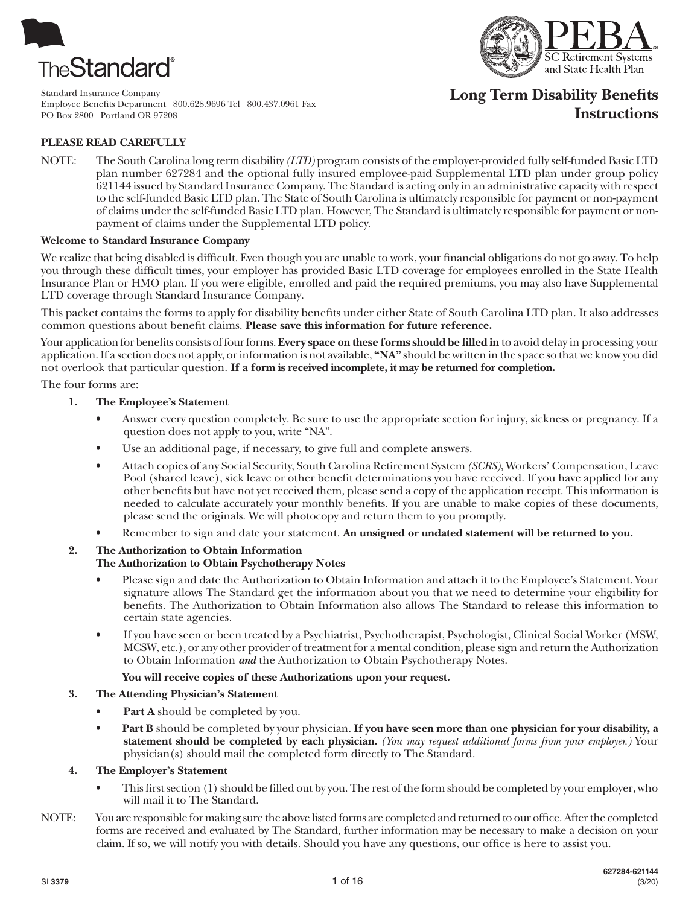

Standard Insurance Company Employee Benefits Department 800.628.9696 Tel 800.437.0961 Fax PO Box 2800 Portland OR 97208



# **Long Term Disability Benefits Instructions**

# **PLEASE READ CAREFULLY**

NOTE: The South Carolina long term disability *(LTD)* program consists of the employer-provided fully self-funded Basic LTD plan number 627284 and the optional fully insured employee-paid Supplemental LTD plan under group policy 621144 issued by Standard Insurance Company. The Standard is acting only in an administrative capacity with respect to the self-funded Basic LTD plan. The State of South Carolina is ultimately responsible for payment or non-payment of claims under the self-funded Basic LTD plan. However, The Standard is ultimately responsible for payment or nonpayment of claims under the Supplemental LTD policy.

#### **Welcome to Standard Insurance Company**

We realize that being disabled is difficult. Even though you are unable to work, your financial obligations do not go away. To help you through these difficult times, your employer has provided Basic LTD coverage for employees enrolled in the State Health Insurance Plan or HMO plan. If you were eligible, enrolled and paid the required premiums, you may also have Supplemental LTD coverage through Standard Insurance Company.

This packet contains the forms to apply for disability benefits under either State of South Carolina LTD plan. It also addresses common questions about benefit claims. **Please save this information for future reference.**

Your application for benefits consists of four forms. **Every space on these forms should be filled in** to avoid delay in processing your application. If a section does not apply, or information is not available, **"NA"** should be written in the space so that we know you did not overlook that particular question. **If a form is received incomplete, it may be returned for completion.**

The four forms are:

- **1. The Employee's Statement**
	- Answer every question completely. Be sure to use the appropriate section for injury, sickness or pregnancy. If a question does not apply to you, write "NA".
	- Use an additional page, if necessary, to give full and complete answers.
	- Attach copies of any Social Security, South Carolina Retirement System *(SCRS)*, Workers' Compensation, Leave Pool (shared leave), sick leave or other benefit determinations you have received. If you have applied for any other benefits but have not yet received them, please send a copy of the application receipt. This information is needed to calculate accurately your monthly benefits. If you are unable to make copies of these documents, please send the originals. We will photocopy and return them to you promptly.
	- Remember to sign and date your statement. **An unsigned or undated statement will be returned to you.**

## **2. The Authorization to Obtain Information**

- **The Authorization to Obtain Psychotherapy Notes**
- Please sign and date the Authorization to Obtain Information and attach it to the Employee's Statement. Your signature allows The Standard get the information about you that we need to determine your eligibility for benefits. The Authorization to Obtain Information also allows The Standard to release this information to certain state agencies.
- If you have seen or been treated by a Psychiatrist, Psychotherapist, Psychologist, Clinical Social Worker (MSW, MCSW, etc.), or any other provider of treatment for a mental condition, please sign and return the Authorization to Obtain Information *and* the Authorization to Obtain Psychotherapy Notes.

#### **You will receive copies of these Authorizations upon your request.**

#### **3. The Attending Physician's Statement**

- Part A should be completed by you.
- **Part B** should be completed by your physician. **If you have seen more than one physician for your disability, a statement should be completed by each physician.** *(You may request additional forms from your employer.)* Your physician(s) should mail the completed form directly to The Standard.

#### **4. The Employer's Statement**

- This first section (1) should be filled out by you. The rest of the form should be completed by your employer, who will mail it to The Standard.
- NOTE: You are responsible for making sure the above listed forms are completed and returned to our office. After the completed forms are received and evaluated by The Standard, further information may be necessary to make a decision on your claim. If so, we will notify you with details. Should you have any questions, our office is here to assist you.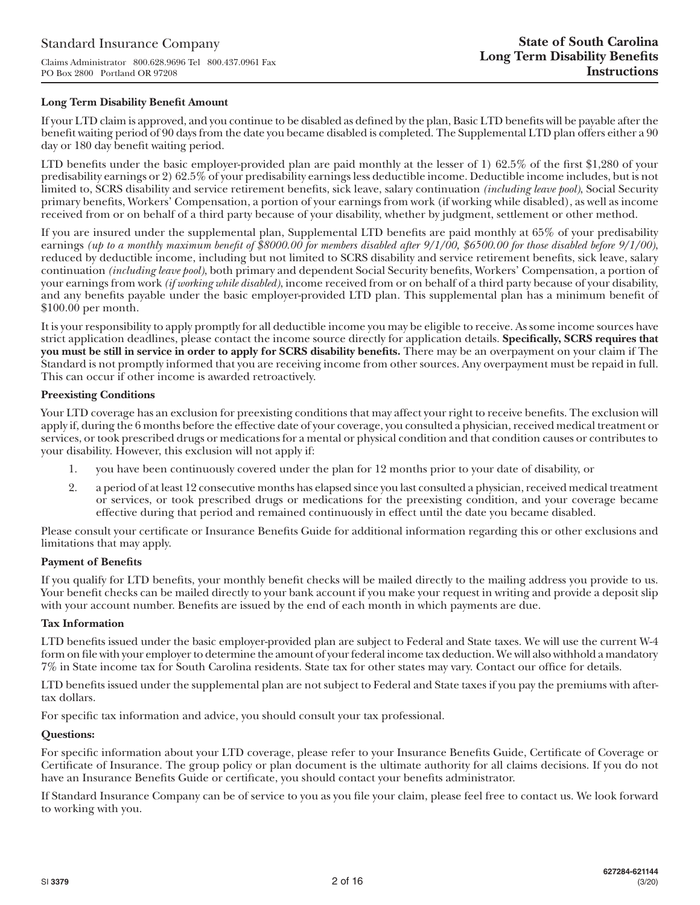## **Long Term Disability Benefit Amount**

If your LTD claim is approved, and you continue to be disabled as defined by the plan, Basic LTD benefits will be payable after the benefit waiting period of 90 days from the date you became disabled is completed. The Supplemental LTD plan offers either a 90 day or 180 day benefit waiting period.

LTD benefits under the basic employer-provided plan are paid monthly at the lesser of 1) 62.5% of the first \$1,280 of your predisability earnings or 2) 62.5% of your predisability earnings less deductible income. Deductible income includes, but is not limited to, SCRS disability and service retirement benefits, sick leave, salary continuation *(including leave pool)*, Social Security primary benefits, Workers' Compensation, a portion of your earnings from work (if working while disabled), as well as income received from or on behalf of a third party because of your disability, whether by judgment, settlement or other method.

If you are insured under the supplemental plan, Supplemental LTD benefits are paid monthly at 65% of your predisability earnings *(up to a monthly maximum benefit of \$8000.00 for members disabled after 9/1/00, \$6500.00 for those disabled before 9/1/00)*, reduced by deductible income, including but not limited to SCRS disability and service retirement benefits, sick leave, salary continuation *(including leave pool)*, both primary and dependent Social Security benefits, Workers' Compensation, a portion of your earnings from work *(if working while disabled)*, income received from or on behalf of a third party because of your disability, and any benefits payable under the basic employer-provided LTD plan. This supplemental plan has a minimum benefit of \$100.00 per month.

It is your responsibility to apply promptly for all deductible income you may be eligible to receive. As some income sources have strict application deadlines, please contact the income source directly for application details. **Specifically, SCRS requires that you must be still in service in order to apply for SCRS disability benefits.** There may be an overpayment on your claim if The Standard is not promptly informed that you are receiving income from other sources. Any overpayment must be repaid in full. This can occur if other income is awarded retroactively.

## **Preexisting Conditions**

Your LTD coverage has an exclusion for preexisting conditions that may affect your right to receive benefits. The exclusion will apply if, during the 6 months before the effective date of your coverage, you consulted a physician, received medical treatment or services, or took prescribed drugs or medications for a mental or physical condition and that condition causes or contributes to your disability. However, this exclusion will not apply if:

- 1. you have been continuously covered under the plan for 12 months prior to your date of disability, or
- 2. a period of at least 12 consecutive months has elapsed since you last consulted a physician, received medical treatment or services, or took prescribed drugs or medications for the preexisting condition, and your coverage became effective during that period and remained continuously in effect until the date you became disabled.

Please consult your certificate or Insurance Benefits Guide for additional information regarding this or other exclusions and limitations that may apply.

#### **Payment of Benefits**

If you qualify for LTD benefits, your monthly benefit checks will be mailed directly to the mailing address you provide to us. Your benefit checks can be mailed directly to your bank account if you make your request in writing and provide a deposit slip with your account number. Benefits are issued by the end of each month in which payments are due.

#### **Tax Information**

LTD benefits issued under the basic employer-provided plan are subject to Federal and State taxes. We will use the current W-4 form on file with your employer to determine the amount of your federal income tax deduction. We will also withhold a mandatory 7% in State income tax for South Carolina residents. State tax for other states may vary. Contact our office for details.

LTD benefits issued under the supplemental plan are not subject to Federal and State taxes if you pay the premiums with aftertax dollars.

For specific tax information and advice, you should consult your tax professional.

#### **Questions:**

For specific information about your LTD coverage, please refer to your Insurance Benefits Guide, Certificate of Coverage or Certificate of Insurance. The group policy or plan document is the ultimate authority for all claims decisions. If you do not have an Insurance Benefits Guide or certificate, you should contact your benefits administrator.

If Standard Insurance Company can be of service to you as you file your claim, please feel free to contact us. We look forward to working with you.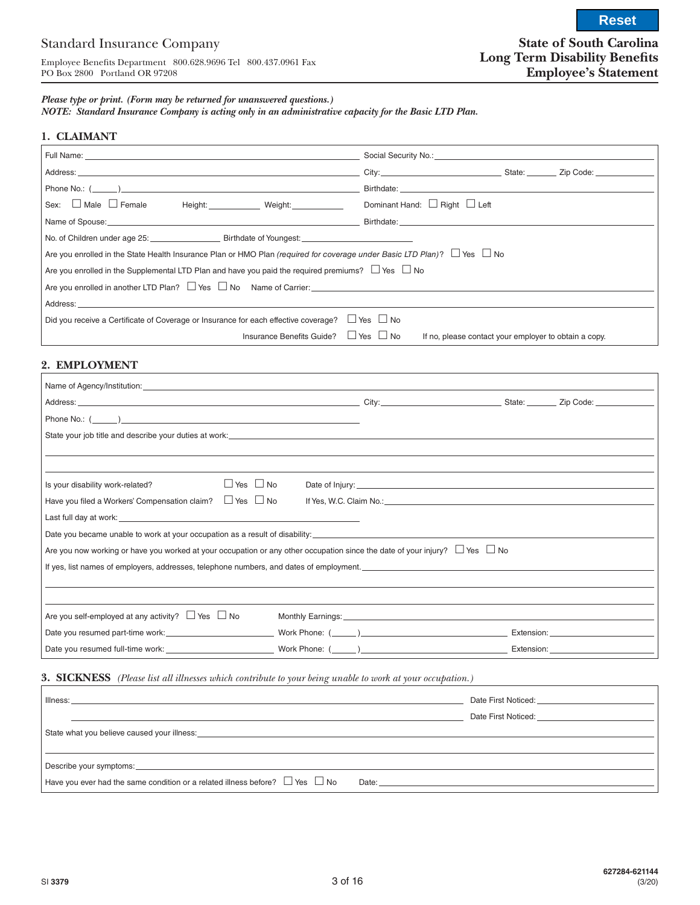**Reset**

#### *Please type or print. (Form may be returned for unanswered questions.)*

*NOTE: Standard Insurance Company is acting only in an administrative capacity for the Basic LTD Plan.*

#### **1. CLAIMANT**

| Sex: □ Male □ Female Height: Weight: Weight: Dominant Hand: □ Right □ Left                                                         |                                                       |  |  |  |  |
|------------------------------------------------------------------------------------------------------------------------------------|-------------------------------------------------------|--|--|--|--|
|                                                                                                                                    |                                                       |  |  |  |  |
| No. of Children under age 25: Birthdate of Youngest: No. of Children under age 25:                                                 |                                                       |  |  |  |  |
| Are you enrolled in the State Health Insurance Plan or HMO Plan (required for coverage under Basic LTD Plan)? $\Box$ Yes $\Box$ No |                                                       |  |  |  |  |
| Are you enrolled in the Supplemental LTD Plan and have you paid the required premiums? $\Box$ Yes $\Box$ No                        |                                                       |  |  |  |  |
| Are you enrolled in another LTD Plan? $\Box$ Yes $\Box$ No Name of Carrier: $\Box$                                                 |                                                       |  |  |  |  |
|                                                                                                                                    |                                                       |  |  |  |  |
| Did you receive a Certificate of Coverage or Insurance for each effective coverage? $\Box$ Yes $\Box$ No                           |                                                       |  |  |  |  |
| Insurance Benefits Guide? $\Box$ Yes $\Box$ No                                                                                     | If no, please contact your employer to obtain a copy. |  |  |  |  |

## **2. EMPLOYMENT**

| Name of Agency/Institution: University of Agency Institution.                                                                                                                                                                  |                                                                                                                                                                                                                                |  |
|--------------------------------------------------------------------------------------------------------------------------------------------------------------------------------------------------------------------------------|--------------------------------------------------------------------------------------------------------------------------------------------------------------------------------------------------------------------------------|--|
|                                                                                                                                                                                                                                |                                                                                                                                                                                                                                |  |
|                                                                                                                                                                                                                                |                                                                                                                                                                                                                                |  |
|                                                                                                                                                                                                                                |                                                                                                                                                                                                                                |  |
|                                                                                                                                                                                                                                |                                                                                                                                                                                                                                |  |
|                                                                                                                                                                                                                                |                                                                                                                                                                                                                                |  |
| $\Box$ Yes $\Box$ No<br>Is your disability work-related?                                                                                                                                                                       |                                                                                                                                                                                                                                |  |
| Have you filed a Workers' Compensation claim? $\Box$ Yes $\Box$ No                                                                                                                                                             | If Yes, W.C. Claim No.: University of the Contract of the Contract of the Contract of the Contract of the Contract of the Contract of the Contract of the Contract of the Contract of the Contract of the Contract of the Cont |  |
| Last full day at work: the contract of the contract of the contract of the contract of the contract of the contract of the contract of the contract of the contract of the contract of the contract of the contract of the con |                                                                                                                                                                                                                                |  |
| Date you became unable to work at your occupation as a result of disability:                                                                                                                                                   |                                                                                                                                                                                                                                |  |
| Are you now working or have you worked at your occupation or any other occupation since the date of your injury? $\Box$ Yes $\Box$ No                                                                                          |                                                                                                                                                                                                                                |  |
| If yes, list names of employers, addresses, telephone numbers, and dates of employment.                                                                                                                                        |                                                                                                                                                                                                                                |  |
|                                                                                                                                                                                                                                |                                                                                                                                                                                                                                |  |
|                                                                                                                                                                                                                                |                                                                                                                                                                                                                                |  |
| Are you self-employed at any activity? $\Box$ Yes $\Box$ No                                                                                                                                                                    | Monthly Earnings: 1990 Monthly Earnings: 1990 Monthly Earnings: 1990 Monthly Earnings: 1990                                                                                                                                    |  |
|                                                                                                                                                                                                                                |                                                                                                                                                                                                                                |  |
|                                                                                                                                                                                                                                |                                                                                                                                                                                                                                |  |

#### **3. SICKNESS** *(Please list all illnesses which contribute to your being unable to work at your occupation.)*

|                                                                                                                                                                                                                                                                                                                          | Date First Noticed: <b>Example 20</b>    |
|--------------------------------------------------------------------------------------------------------------------------------------------------------------------------------------------------------------------------------------------------------------------------------------------------------------------------|------------------------------------------|
|                                                                                                                                                                                                                                                                                                                          | Date First Noticed: <u>_____________</u> |
| State what you believe caused your illness:                                                                                                                                                                                                                                                                              |                                          |
|                                                                                                                                                                                                                                                                                                                          |                                          |
| Have you ever had the same condition or a related illness before? $\Box$ Yes $\Box$ No<br>Date: the contract of the contract of the contract of the contract of the contract of the contract of the contract of the contract of the contract of the contract of the contract of the contract of the contract of the cont |                                          |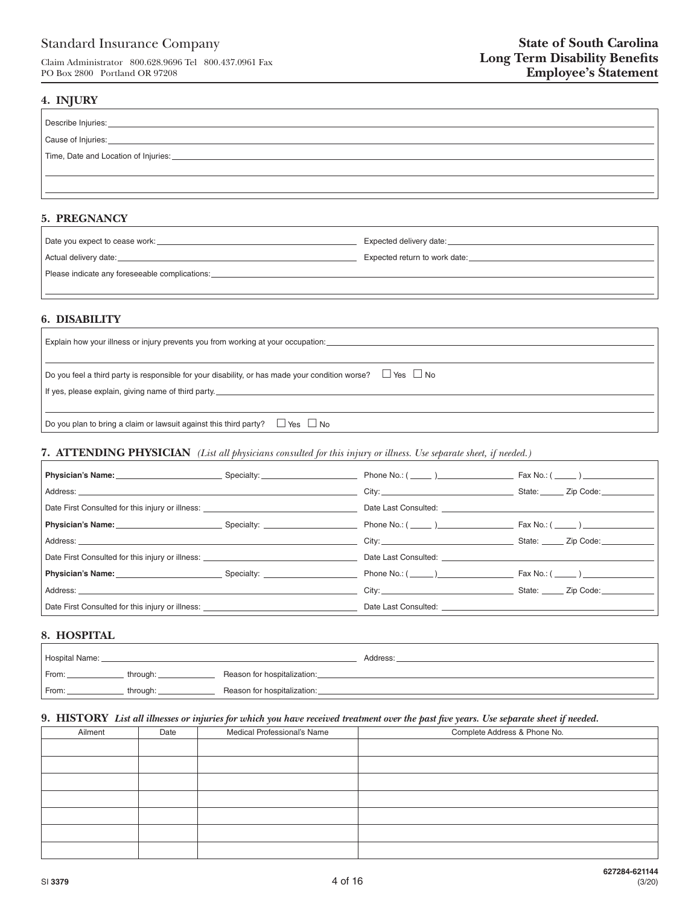# Standard Insurance Company

Claim Administrator 800.628.9696 Tel 800.437.0961 Fax PO Box 2800 Portland OR 97208

## **4. INJURY**

| Describe Injuries:                   |
|--------------------------------------|
| Cause of Injuries:                   |
| Time, Date and Location of Injuries: |
|                                      |
|                                      |

## **5. PREGNANCY**

|                                                | Expected delivery date: North and the series of the series of the series of the series of the series of the series of the series of the series of the series of the series of the series of the series of the series of the se |
|------------------------------------------------|--------------------------------------------------------------------------------------------------------------------------------------------------------------------------------------------------------------------------------|
| Actual delivery date:                          | Expected return to work date:                                                                                                                                                                                                  |
| Please indicate any foreseeable complications: |                                                                                                                                                                                                                                |
|                                                |                                                                                                                                                                                                                                |

## **6. DISABILITY**

| Explain how your illness or injury prevents you from working at your occupation:                                                                                                                |
|-------------------------------------------------------------------------------------------------------------------------------------------------------------------------------------------------|
| $^{\prime}$ Do you feel a third party is responsible for your disability, or has made your condition worse? $\quad \Box$ Yes $\ \Box$ No<br>If yes, please explain, giving name of third party. |
| $^\prime$ Do you plan to bring a claim or lawsuit against this third party? $\Box$ Yes $\Box$ No                                                                                                |

## **7. ATTENDING PHYSICIAN** *(List all physicians consulted for this injury or illness. Use separate sheet, if needed.)*

|                                                                                                                                                                                                                                     | Phone No.: ( ______ )___________________                                                                                                                                                                                       |                                      |
|-------------------------------------------------------------------------------------------------------------------------------------------------------------------------------------------------------------------------------------|--------------------------------------------------------------------------------------------------------------------------------------------------------------------------------------------------------------------------------|--------------------------------------|
|                                                                                                                                                                                                                                     |                                                                                                                                                                                                                                | State: ______ Zip Code: __________   |
| Date First Consulted for this injury or illness: _______________________________                                                                                                                                                    | Date Last Consulted: New York 1997                                                                                                                                                                                             |                                      |
| <b>Physician's Name:</b> Contract Contract Contract Contract Contract Contract Contract Contract Contract Contract Contract Contract Contract Contract Contract Contract Contract Contract Contract Contract Contract Contract Cont |                                                                                                                                                                                                                                |                                      |
| Address: Address: Address: Address: Address: Address: Address: Address: Address: Address: Address: Address: Address: Address: Address: Address: Address: Address: Address: Address: Address: Address: Address: Address: Addres      | City: the contract of the contract of the contract of the contract of the contract of the contract of the contract of the contract of the contract of the contract of the contract of the contract of the contract of the cont | State: ______ Zip Code: ____________ |
| Date First Consulted for this injury or illness: _______________________________                                                                                                                                                    | Date Last Consulted: The Consulted Consulted:                                                                                                                                                                                  |                                      |
| <b>Physician's Name:</b> Specialty: Specialty:                                                                                                                                                                                      |                                                                                                                                                                                                                                | $Fax No.: ($ $)$ $)$ $)$ $)$ $)$ $)$ |
|                                                                                                                                                                                                                                     | City: the contract of the contract of the contract of the contract of the contract of the contract of the contract of the contract of the contract of the contract of the contract of the contract of the contract of the cont | State: ______ Zip Code: ________     |
| Date First Consulted for this injury or illness: ________________________________                                                                                                                                                   | Date Last Consulted: <b>Example 2018</b>                                                                                                                                                                                       |                                      |

# **8. HOSPITAL**

| Hospital Name: |          |                             | Address: |
|----------------|----------|-----------------------------|----------|
| From:          | through: | Reason for hospitalization: |          |
| From:          | through: | Reason for hospitalization: |          |

## **9. HISTORY** *List all illnesses or injuries for which you have received treatment over the past five years. Use separate sheet if needed.*

| Ailment | Date | Medical Professional's Name | Complete Address & Phone No. |
|---------|------|-----------------------------|------------------------------|
|         |      |                             |                              |
|         |      |                             |                              |
|         |      |                             |                              |
|         |      |                             |                              |
|         |      |                             |                              |
|         |      |                             |                              |
|         |      |                             |                              |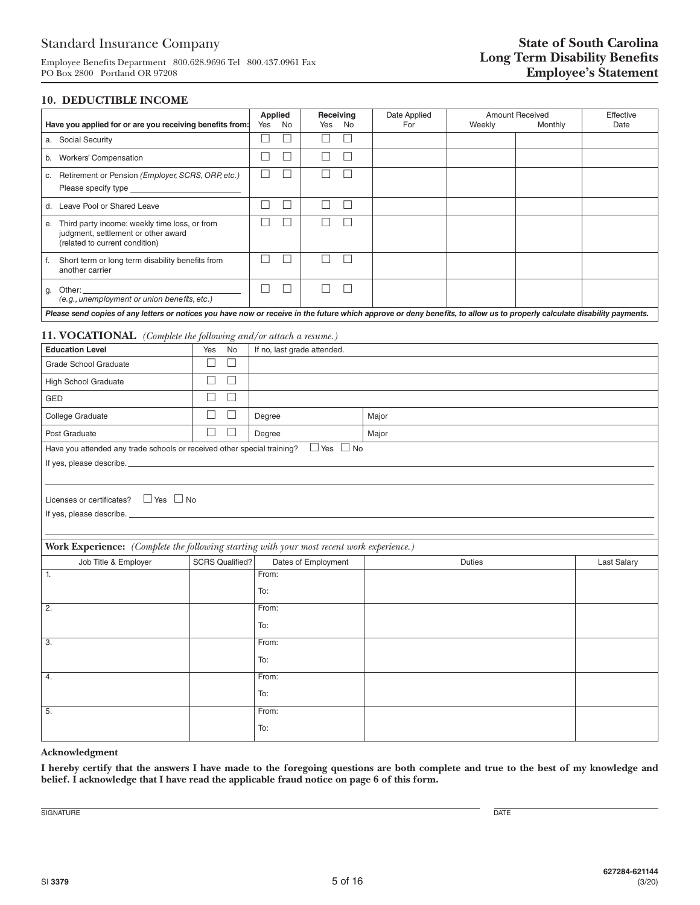Employee Benefits Department 800.628.9696 Tel 800.437.0961 Fax PO Box 2800 Portland OR 97208

## **10. DEDUCTIBLE INCOME**

| Have you applied for or are you receiving benefits from:                                                                                                                  | Applied<br>Receiving<br>Yes<br>No<br>No<br>Yes |  | Date Applied<br>For | <b>Amount Received</b><br>Weekly<br>Monthly |  | Effective<br>Date |
|---------------------------------------------------------------------------------------------------------------------------------------------------------------------------|------------------------------------------------|--|---------------------|---------------------------------------------|--|-------------------|
| a. Social Security                                                                                                                                                        |                                                |  |                     |                                             |  |                   |
| <b>Workers' Compensation</b><br>b.                                                                                                                                        |                                                |  |                     |                                             |  |                   |
| Retirement or Pension (Employer, SCRS, ORP, etc.)<br>С.<br>Please specify type <b>Example 20</b>                                                                          |                                                |  |                     |                                             |  |                   |
| Leave Pool or Shared Leave<br>d.                                                                                                                                          |                                                |  |                     |                                             |  |                   |
| Third party income: weekly time loss, or from<br>е.<br>judgment, settlement or other award<br>(related to current condition)                                              |                                                |  |                     |                                             |  |                   |
| Short term or long term disability benefits from<br>another carrier                                                                                                       |                                                |  |                     |                                             |  |                   |
| Other:<br>g.<br>(e.g., unemployment or union benefits, etc.)                                                                                                              |                                                |  |                     |                                             |  |                   |
| Please send copies of any letters or notices you have now or receive in the future which approve or deny benefits, to allow us to properly calculate disability payments. |                                                |  |                     |                                             |  |                   |

#### **11. VOCATIONAL** *(Complete the following and/or attach a resume.)*

| <b>Education Level</b>                                                                       | Yes<br>No                   | If no, last grade attended. |               |             |  |
|----------------------------------------------------------------------------------------------|-----------------------------|-----------------------------|---------------|-------------|--|
| Grade School Graduate                                                                        | $\Box$<br>$\Box$            |                             |               |             |  |
| High School Graduate                                                                         | $\Box$<br>$\Box$            |                             |               |             |  |
| GED                                                                                          | $\Box$<br>$\Box$            |                             |               |             |  |
| College Graduate                                                                             | $\Box$<br>П                 | Degree                      | Major         |             |  |
| Post Graduate                                                                                | $\mathcal{L}_{\mathcal{A}}$ | Degree                      | Major         |             |  |
| Have you attended any trade schools or received other special training? $\Box$ Yes $\Box$ No |                             |                             |               |             |  |
|                                                                                              |                             |                             |               |             |  |
|                                                                                              |                             |                             |               |             |  |
| Licenses or certificates? $\Box$ Yes $\Box$ No                                               |                             |                             |               |             |  |
|                                                                                              |                             |                             |               |             |  |
|                                                                                              |                             |                             |               |             |  |
| Work Experience: (Complete the following starting with your most recent work experience.)    |                             |                             |               |             |  |
| Job Title & Employer                                                                         | <b>SCRS Qualified?</b>      | Dates of Employment         | <b>Duties</b> | Last Salary |  |
| 1.                                                                                           |                             | From:                       |               |             |  |
|                                                                                              |                             | To:                         |               |             |  |
| 2.                                                                                           |                             | From:                       |               |             |  |
|                                                                                              |                             | To:                         |               |             |  |
| 3.                                                                                           |                             | From:                       |               |             |  |
|                                                                                              |                             | To:                         |               |             |  |
| $\overline{4}$ .                                                                             |                             | From:                       |               |             |  |
|                                                                                              |                             | To:                         |               |             |  |
| 5.                                                                                           |                             | From:                       |               |             |  |
|                                                                                              |                             | To:                         |               |             |  |

#### **Acknowledgment**

**I hereby certify that the answers I have made to the foregoing questions are both complete and true to the best of my knowledge and belief. I acknowledge that I have read the applicable fraud notice on page 6 of this form.**

SIGNATURE DATE DESCRIPTION OF SERVICES AND LOCAL CONTRACTOR CONTRACTOR OF DATE OF DATE OF DATE OF DATE OF DATE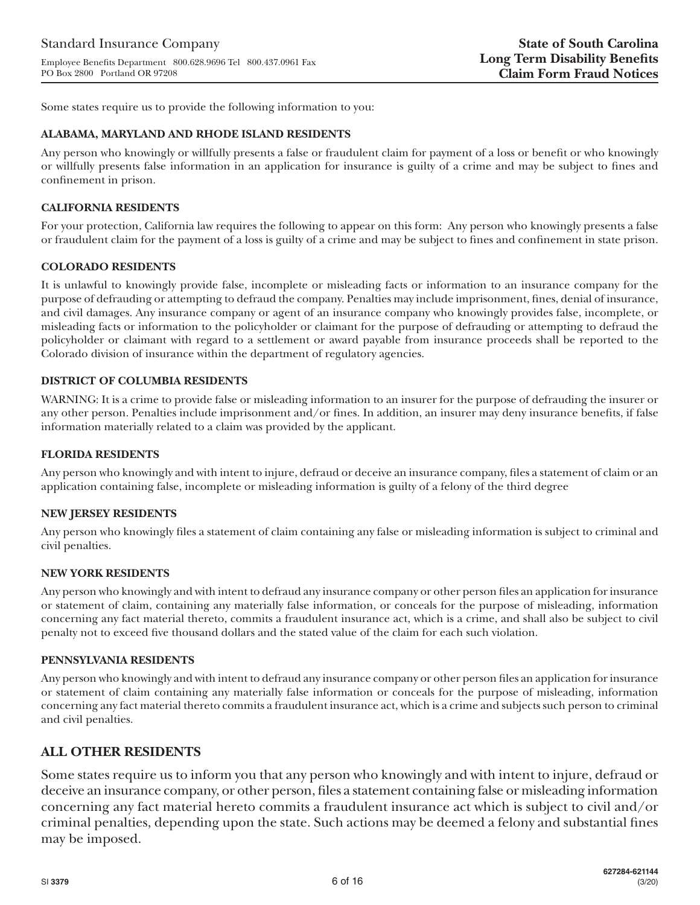Some states require us to provide the following information to you:

## **ALABAMA, MARYLAND AND RHODE ISLAND RESIDENTS**

Any person who knowingly or willfully presents a false or fraudulent claim for payment of a loss or benefit or who knowingly or willfully presents false information in an application for insurance is guilty of a crime and may be subject to fines and confinement in prison.

## **CALIFORNIA RESIDENTS**

For your protection, California law requires the following to appear on this form: Any person who knowingly presents a false or fraudulent claim for the payment of a loss is guilty of a crime and may be subject to fines and confinement in state prison.

## **COLORADO RESIDENTS**

It is unlawful to knowingly provide false, incomplete or misleading facts or information to an insurance company for the purpose of defrauding or attempting to defraud the company. Penalties may include imprisonment, fines, denial of insurance, and civil damages. Any insurance company or agent of an insurance company who knowingly provides false, incomplete, or misleading facts or information to the policyholder or claimant for the purpose of defrauding or attempting to defraud the policyholder or claimant with regard to a settlement or award payable from insurance proceeds shall be reported to the Colorado division of insurance within the department of regulatory agencies.

## **DISTRICT OF COLUMBIA RESIDENTS**

WARNING: It is a crime to provide false or misleading information to an insurer for the purpose of defrauding the insurer or any other person. Penalties include imprisonment and/or fines. In addition, an insurer may deny insurance benefits, if false information materially related to a claim was provided by the applicant.

## **FLORIDA RESIDENTS**

Any person who knowingly and with intent to injure, defraud or deceive an insurance company, files a statement of claim or an application containing false, incomplete or misleading information is guilty of a felony of the third degree

#### **NEW JERSEY RESIDENTS**

Any person who knowingly files a statement of claim containing any false or misleading information is subject to criminal and civil penalties.

#### **NEW YORK RESIDENTS**

Any person who knowingly and with intent to defraud any insurance company or other person files an application for insurance or statement of claim, containing any materially false information, or conceals for the purpose of misleading, information concerning any fact material thereto, commits a fraudulent insurance act, which is a crime, and shall also be subject to civil penalty not to exceed five thousand dollars and the stated value of the claim for each such violation.

#### **PENNSYLVANIA RESIDENTS**

Any person who knowingly and with intent to defraud any insurance company or other person files an application for insurance or statement of claim containing any materially false information or conceals for the purpose of misleading, information concerning any fact material thereto commits a fraudulent insurance act, which is a crime and subjects such person to criminal and civil penalties.

# **ALL OTHER RESIDENTS**

Some states require us to inform you that any person who knowingly and with intent to injure, defraud or deceive an insurance company, or other person, files a statement containing false or misleading information concerning any fact material hereto commits a fraudulent insurance act which is subject to civil and/or criminal penalties, depending upon the state. Such actions may be deemed a felony and substantial fines may be imposed.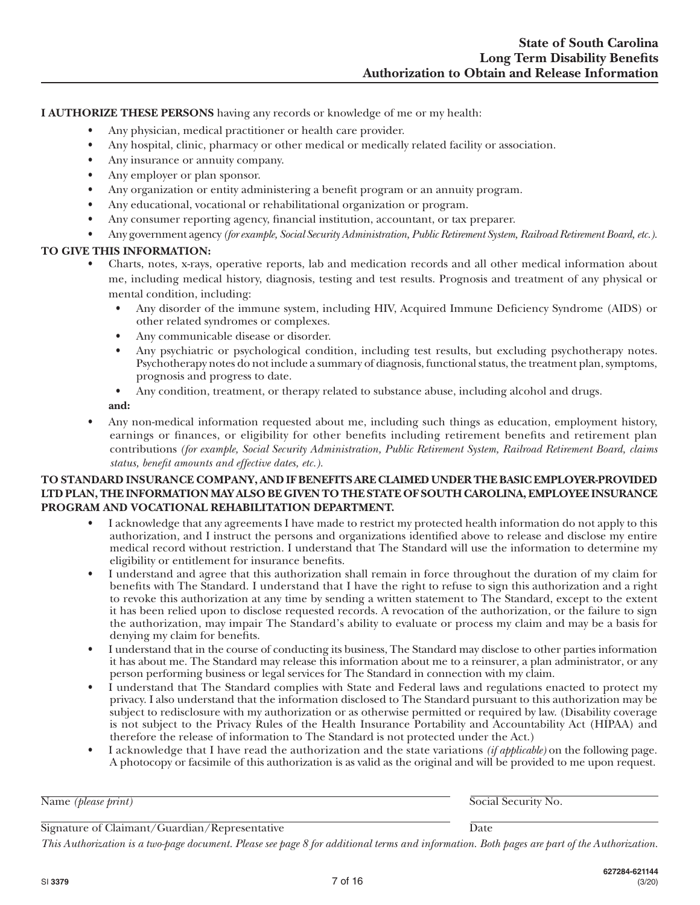**I AUTHORIZE THESE PERSONS** having any records or knowledge of me or my health:

- Any physician, medical practitioner or health care provider.
- Any hospital, clinic, pharmacy or other medical or medically related facility or association.
- Any insurance or annuity company.
- Any employer or plan sponsor.
- Any organization or entity administering a benefit program or an annuity program.
- Any educational, vocational or rehabilitational organization or program.
- Any consumer reporting agency, financial institution, accountant, or tax preparer.
- Any government agency *(for example, Social Security Administration, Public Retirement System, Railroad Retirement Board, etc.).*

## **TO GIVE THIS INFORMATION:**

- Charts, notes, x-rays, operative reports, lab and medication records and all other medical information about me, including medical history, diagnosis, testing and test results. Prognosis and treatment of any physical or mental condition, including:
	- Any disorder of the immune system, including HIV, Acquired Immune Deficiency Syndrome (AIDS) or other related syndromes or complexes.
	- Any communicable disease or disorder.
	- Any psychiatric or psychological condition, including test results, but excluding psychotherapy notes. Psychotherapy notes do not include a summary of diagnosis, functional status, the treatment plan, symptoms, prognosis and progress to date.
	- Any condition, treatment, or therapy related to substance abuse, including alcohol and drugs.

**and:**

• Any non-medical information requested about me, including such things as education, employment history, earnings or finances, or eligibility for other benefits including retirement benefits and retirement plan contributions *(for example, Social Security Administration, Public Retirement System, Railroad Retirement Board, claims status, benefit amounts and effective dates, etc.).*

## **TO STANDARD INSURANCE COMPANY, AND IF BENEFITS ARE CLAIMED UNDER THE BASIC EMPLOYER-PROVIDED LTD PLAN, THE INFORMATION MAY ALSO BE GIVEN TO THE STATE OF SOUTH CAROLINA, EMPLOYEE INSURANCE PROGRAM AND VOCATIONAL REHABILITATION DEPARTMENT.**

- I acknowledge that any agreements I have made to restrict my protected health information do not apply to this authorization, and I instruct the persons and organizations identified above to release and disclose my entire medical record without restriction. I understand that The Standard will use the information to determine my eligibility or entitlement for insurance benefits.
- I understand and agree that this authorization shall remain in force throughout the duration of my claim for benefits with The Standard. I understand that I have the right to refuse to sign this authorization and a right to revoke this authorization at any time by sending a written statement to The Standard, except to the extent it has been relied upon to disclose requested records. A revocation of the authorization, or the failure to sign the authorization, may impair The Standard's ability to evaluate or process my claim and may be a basis for denying my claim for benefits.
- I understand that in the course of conducting its business, The Standard may disclose to other parties information it has about me. The Standard may release this information about me to a reinsurer, a plan administrator, or any person performing business or legal services for The Standard in connection with my claim.
- I understand that The Standard complies with State and Federal laws and regulations enacted to protect my privacy. I also understand that the information disclosed to The Standard pursuant to this authorization may be subject to redisclosure with my authorization or as otherwise permitted or required by law. (Disability coverage is not subject to the Privacy Rules of the Health Insurance Portability and Accountability Act (HIPAA) and therefore the release of information to The Standard is not protected under the Act.)
- I acknowledge that I have read the authorization and the state variations *(if applicable)* on the following page. A photocopy or facsimile of this authorization is as valid as the original and will be provided to me upon request.

Name *(please print)* Social Security No.

Signature of Claimant/Guardian/Representative Date

*This Authorization is a two-page document. Please see page 8 for additional terms and information. Both pages are part of the Authorization.*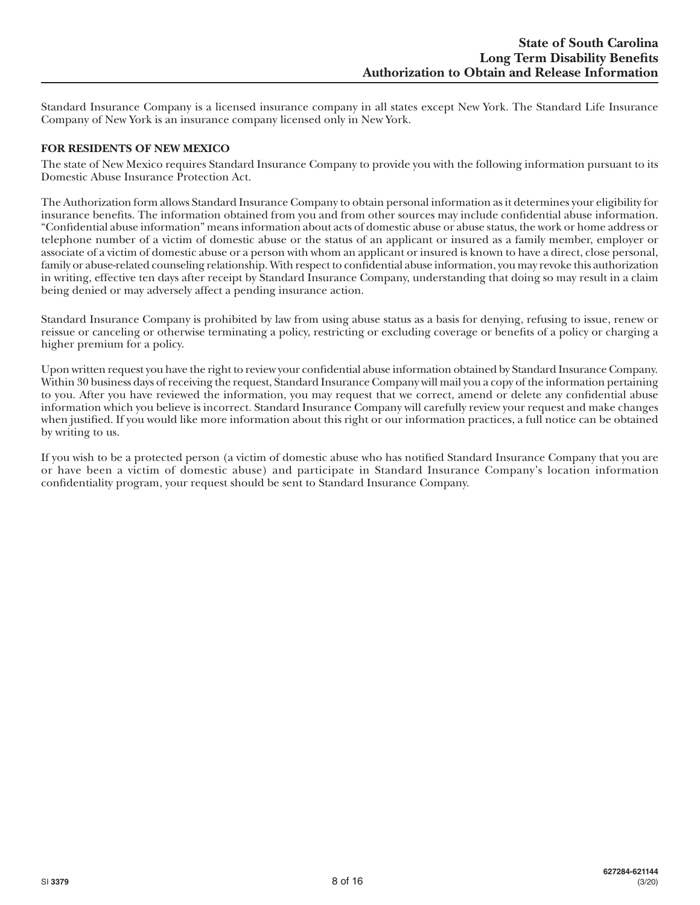Standard Insurance Company is a licensed insurance company in all states except New York. The Standard Life Insurance Company of New York is an insurance company licensed only in New York.

## **FOR RESIDENTS OF NEW MEXICO**

The state of New Mexico requires Standard Insurance Company to provide you with the following information pursuant to its Domestic Abuse Insurance Protection Act.

The Authorization form allows Standard Insurance Company to obtain personal information as it determines your eligibility for insurance benefits. The information obtained from you and from other sources may include confidential abuse information. "Confidential abuse information" means information about acts of domestic abuse or abuse status, the work or home address or telephone number of a victim of domestic abuse or the status of an applicant or insured as a family member, employer or associate of a victim of domestic abuse or a person with whom an applicant or insured is known to have a direct, close personal, family or abuse-related counseling relationship. With respect to confidential abuse information, you may revoke this authorization in writing, effective ten days after receipt by Standard Insurance Company, understanding that doing so may result in a claim being denied or may adversely affect a pending insurance action.

Standard Insurance Company is prohibited by law from using abuse status as a basis for denying, refusing to issue, renew or reissue or canceling or otherwise terminating a policy, restricting or excluding coverage or benefits of a policy or charging a higher premium for a policy.

Upon written request you have the right to review your confidential abuse information obtained by Standard Insurance Company. Within 30 business days of receiving the request, Standard Insurance Company will mail you a copy of the information pertaining to you. After you have reviewed the information, you may request that we correct, amend or delete any confidential abuse information which you believe is incorrect. Standard Insurance Company will carefully review your request and make changes when justified. If you would like more information about this right or our information practices, a full notice can be obtained by writing to us.

If you wish to be a protected person (a victim of domestic abuse who has notified Standard Insurance Company that you are or have been a victim of domestic abuse) and participate in Standard Insurance Company's location information confidentiality program, your request should be sent to Standard Insurance Company.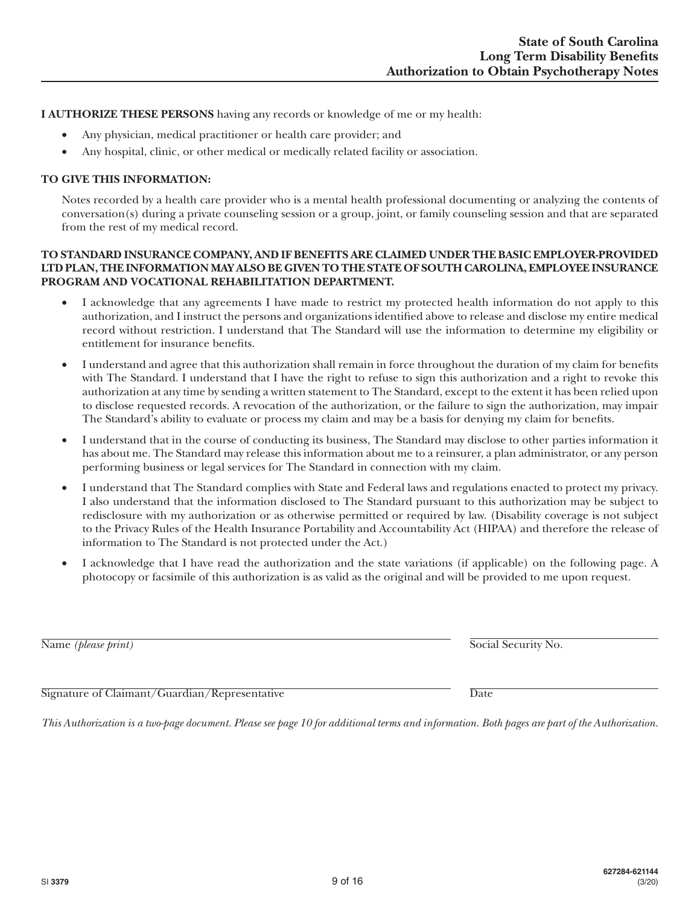**I AUTHORIZE THESE PERSONS** having any records or knowledge of me or my health:

- Any physician, medical practitioner or health care provider; and
- Any hospital, clinic, or other medical or medically related facility or association.

## **TO GIVE THIS INFORMATION:**

Notes recorded by a health care provider who is a mental health professional documenting or analyzing the contents of conversation(s) during a private counseling session or a group, joint, or family counseling session and that are separated from the rest of my medical record.

## **TO STANDARD INSURANCE COMPANY, AND IF BENEFITS ARE CLAIMED UNDER THE BASIC EMPLOYER-PROVIDED LTD PLAN, THE INFORMATION MAY ALSO BE GIVEN TO THE STATE OF SOUTH CAROLINA, EMPLOYEE INSURANCE PROGRAM AND VOCATIONAL REHABILITATION DEPARTMENT.**

- I acknowledge that any agreements I have made to restrict my protected health information do not apply to this authorization, and I instruct the persons and organizations identified above to release and disclose my entire medical record without restriction. I understand that The Standard will use the information to determine my eligibility or entitlement for insurance benefits.
- I understand and agree that this authorization shall remain in force throughout the duration of my claim for benefits with The Standard. I understand that I have the right to refuse to sign this authorization and a right to revoke this authorization at any time by sending a written statement to The Standard, except to the extent it has been relied upon to disclose requested records. A revocation of the authorization, or the failure to sign the authorization, may impair The Standard's ability to evaluate or process my claim and may be a basis for denying my claim for benefits.
- • I understand that in the course of conducting its business, The Standard may disclose to other parties information it has about me. The Standard may release this information about me to a reinsurer, a plan administrator, or any person performing business or legal services for The Standard in connection with my claim.
- • I understand that The Standard complies with State and Federal laws and regulations enacted to protect my privacy. I also understand that the information disclosed to The Standard pursuant to this authorization may be subject to redisclosure with my authorization or as otherwise permitted or required by law. (Disability coverage is not subject to the Privacy Rules of the Health Insurance Portability and Accountability Act (HIPAA) and therefore the release of information to The Standard is not protected under the Act.)
- I acknowledge that I have read the authorization and the state variations (if applicable) on the following page. A photocopy or facsimile of this authorization is as valid as the original and will be provided to me upon request.

Name *(please print)* Social Security No.

Signature of Claimant/Guardian/Representative Date

*This Authorization is a two-page document. Please see page 10 for additional terms and information. Both pages are part of the Authorization.*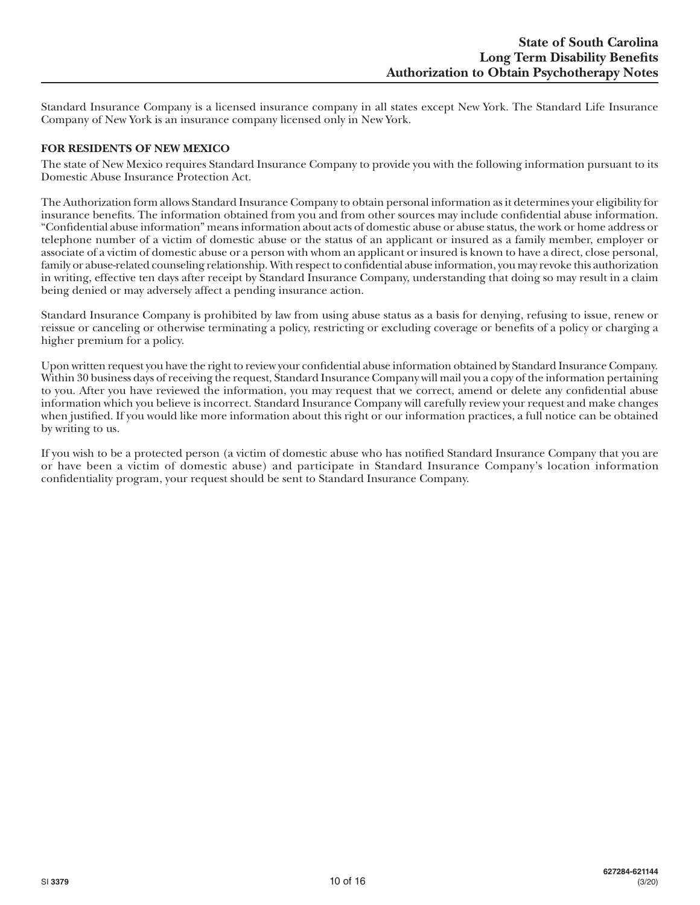Standard Insurance Company is a licensed insurance company in all states except New York. The Standard Life Insurance Company of New York is an insurance company licensed only in New York.

## **FOR RESIDENTS OF NEW MEXICO**

The state of New Mexico requires Standard Insurance Company to provide you with the following information pursuant to its Domestic Abuse Insurance Protection Act.

The Authorization form allows Standard Insurance Company to obtain personal information as it determines your eligibility for insurance benefits. The information obtained from you and from other sources may include confidential abuse information. "Confidential abuse information" means information about acts of domestic abuse or abuse status, the work or home address or telephone number of a victim of domestic abuse or the status of an applicant or insured as a family member, employer or associate of a victim of domestic abuse or a person with whom an applicant or insured is known to have a direct, close personal, family or abuse-related counseling relationship. With respect to confidential abuse information, you may revoke this authorization in writing, effective ten days after receipt by Standard Insurance Company, understanding that doing so may result in a claim being denied or may adversely affect a pending insurance action.

Standard Insurance Company is prohibited by law from using abuse status as a basis for denying, refusing to issue, renew or reissue or canceling or otherwise terminating a policy, restricting or excluding coverage or benefits of a policy or charging a higher premium for a policy.

Upon written request you have the right to review your confidential abuse information obtained by Standard Insurance Company. Within 30 business days of receiving the request, Standard Insurance Company will mail you a copy of the information pertaining to you. After you have reviewed the information, you may request that we correct, amend or delete any confidential abuse information which you believe is incorrect. Standard Insurance Company will carefully review your request and make changes when justified. If you would like more information about this right or our information practices, a full notice can be obtained by writing to us.

If you wish to be a protected person (a victim of domestic abuse who has notified Standard Insurance Company that you are or have been a victim of domestic abuse) and participate in Standard Insurance Company's location information confidentiality program, your request should be sent to Standard Insurance Company.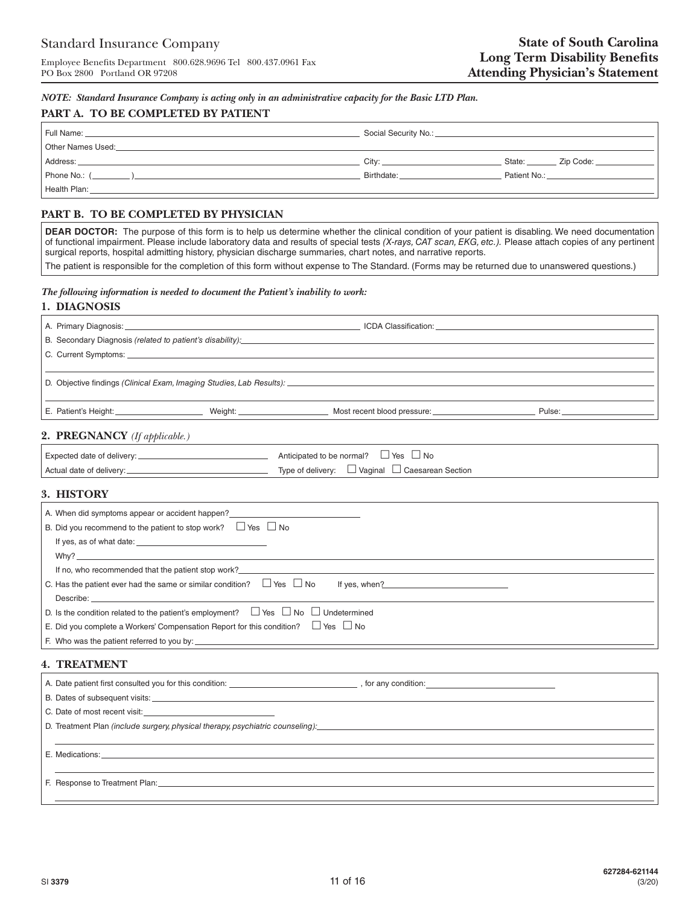*NOTE: Standard Insurance Company is acting only in an administrative capacity for the Basic LTD Plan.*

#### **PART A. TO BE COMPLETED BY PATIENT**

|                                                                                                                                                                  | Social Security No.: Social Security No.: |              |           |
|------------------------------------------------------------------------------------------------------------------------------------------------------------------|-------------------------------------------|--------------|-----------|
| Other Names Used:                                                                                                                                                |                                           |              |           |
| Address:                                                                                                                                                         | City: City:                               | State:       | Zip Code: |
| Phone No.: (<br>$\frac{1}{1}$ .<br>$\frac{1}{1}$ $\frac{1}{1}$ $\frac{1}{1}$ $\frac{1}{1}$ $\frac{1}{1}$ $\frac{1}{1}$ $\frac{1}{1}$ $\frac{1}{1}$ $\frac{1}{1}$ | Birthdate:                                | Patient No.: |           |
| Health Plan:                                                                                                                                                     |                                           |              |           |

## **PART B. TO BE COMPLETED BY PHYSICIAN**

**DEAR DOCTOR:** The purpose of this form is to help us determine whether the clinical condition of your patient is disabling. We need documentation of functional impairment. Please include laboratory data and results of special tests *(X-rays, CAT scan, EKG, etc.).* Please attach copies of any pertinent surgical reports, hospital admitting history, physician discharge summaries, chart notes, and narrative reports.

The patient is responsible for the completion of this form without expense to The Standard. (Forms may be returned due to unanswered questions.)

#### *The following information is needed to document the Patient's inability to work:*

#### **1. DIAGNOSIS**

| C. Current Symptoms: Example 2014 19:30 19:30 19:30 19:30 19:30 19:30 19:30 19:30 19:30 19:30 19:30 19:30 19:30 19:30 19:30 19:30 19:30 19:30 19:30 19:30 19:30 19:30 19:30 19:30 19:30 19:30 19:30 19:30 19:30 19:30 19:30 19 |  |                                                                                                                                                                                                                                     |  |
|--------------------------------------------------------------------------------------------------------------------------------------------------------------------------------------------------------------------------------|--|-------------------------------------------------------------------------------------------------------------------------------------------------------------------------------------------------------------------------------------|--|
|                                                                                                                                                                                                                                |  |                                                                                                                                                                                                                                     |  |
|                                                                                                                                                                                                                                |  | E. Patient's Height: <b>E. Patient's Height:</b> Pulse: Pulse: Pulse: Pulse: Pulse: Pulse: Pulse: Pulse: Pulse: Pulse: Pulse: Pulse: Pulse: Pulse: Pulse: Pulse: Pulse: Pulse: Pulse: Pulse: Pulse: Pulse: Pulse: Pulse: Pulse: Pul |  |
| 2. PREGNANCY (If applicable.)                                                                                                                                                                                                  |  |                                                                                                                                                                                                                                     |  |
|                                                                                                                                                                                                                                |  | Anticipated to be normal? $\Box$ Yes $\Box$ No                                                                                                                                                                                      |  |
|                                                                                                                                                                                                                                |  | Type of delivery: $\Box$ Vaginal $\Box$ Caesarean Section                                                                                                                                                                           |  |

#### **3. HISTORY**

| A. When did symptoms appear or accident happen?                                                   |  |
|---------------------------------------------------------------------------------------------------|--|
| B. Did you recommend to the patient to stop work? $\Box$ Yes $\Box$ No                            |  |
|                                                                                                   |  |
| Why?                                                                                              |  |
|                                                                                                   |  |
| C. Has the patient ever had the same or similar condition? $\Box$ Yes $\Box$ No<br>If yes, when?  |  |
|                                                                                                   |  |
| D. Is the condition related to the patient's employment? $\Box$ Yes $\Box$ No $\Box$ Undetermined |  |
| E. Did you complete a Workers' Compensation Report for this condition? $\Box$ Yes $\Box$ No       |  |
|                                                                                                   |  |
|                                                                                                   |  |

#### **4. TREATMENT**

| A. Date patient first consulted you for this condition: _________________________                                                                                                                                              | , for any condition: $\sqrt{2\pi i}$ |
|--------------------------------------------------------------------------------------------------------------------------------------------------------------------------------------------------------------------------------|--------------------------------------|
|                                                                                                                                                                                                                                |                                      |
|                                                                                                                                                                                                                                |                                      |
| D. Treatment Plan (include surgery, physical therapy, psychiatric counseling):                                                                                                                                                 |                                      |
|                                                                                                                                                                                                                                |                                      |
|                                                                                                                                                                                                                                |                                      |
|                                                                                                                                                                                                                                |                                      |
| F. Response to Treatment Plan: Sales and Sales and Sales and Sales and Sales and Sales and Sales and Sales and Sales and Sales and Sales and Sales and Sales and Sales and Sales and Sales and Sales and Sales and Sales and S |                                      |
|                                                                                                                                                                                                                                |                                      |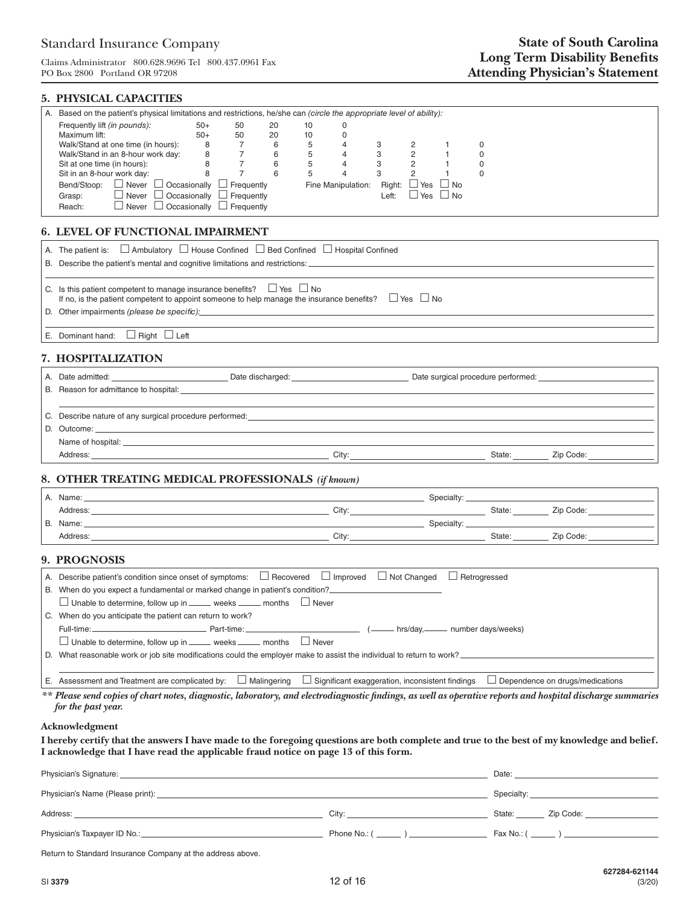Claims Administrator 800.628.9696 Tel 800.437.0961 Fax PO Box 2800 Portland OR 97208

## **5. PHYSICAL CAPACITIES**

| Based on the patient's physical limitations and restrictions, he/she can (circle the appropriate level of ability):                                                                                                            |
|--------------------------------------------------------------------------------------------------------------------------------------------------------------------------------------------------------------------------------|
| Frequently lift (in pounds):<br>$50+$<br>50<br>20<br>10                                                                                                                                                                        |
| Maximum lift:<br>20<br>$50+$<br>10 <sup>°</sup><br>0<br>$\begin{array}{cc} 50 \\ 7 \\ 7 \\ 7 \end{array}$<br>Walk/Stand at one time (in hours):<br>6<br>8<br>5<br>$\overline{4}$<br>3<br>$\overline{2}$<br>0<br>-1             |
| 5<br>Walk/Stand in an 8-hour work day:<br>6<br>$\overline{4}$<br>3<br>$\overline{2}$<br>8<br>$\mathbf{1}$<br>$\mathbf 0$                                                                                                       |
| 5<br>$\overline{2}$<br>Sit at one time (in hours):<br>6<br>$\overline{4}$<br>3<br>$\mathbf{1}$<br>8<br>$\mathbf 0$                                                                                                             |
| $\overline{7}$<br>3<br>$\overline{2}$<br>Sit in an 8-hour work day:<br>6<br>5<br>$\overline{4}$<br>$\mathbf{1}$<br>8<br>$\Omega$                                                                                               |
| Bend/Stoop: $\Box$ Never $\Box$ Occasionally $\Box$ Frequently<br>Fine Manipulation: Right: $\Box$ Yes $\Box$ No                                                                                                               |
| $\Box$ Never $\Box$ Occasionally $\Box$ Frequently<br>Left: $\Box$ Yes $\Box$ No<br>Grasp:<br>$\Box$ Never $\Box$ Occasionally $\Box$ Frequently<br>Reach:                                                                     |
|                                                                                                                                                                                                                                |
| 6. LEVEL OF FUNCTIONAL IMPAIRMENT                                                                                                                                                                                              |
| A. The patient is: $\Box$ Ambulatory $\Box$ House Confined $\Box$ Bed Confined $\Box$ Hospital Confined                                                                                                                        |
| B. Describe the patient's mental and cognitive limitations and restrictions:                                                                                                                                                   |
|                                                                                                                                                                                                                                |
| C. Is this patient competent to manage insurance benefits? $\Box$ Yes $\Box$ No                                                                                                                                                |
| If no, is the patient competent to appoint someone to help manage the insurance benefits? $\square$ Yes $\square$ No                                                                                                           |
|                                                                                                                                                                                                                                |
|                                                                                                                                                                                                                                |
| E. Dominant hand: $\Box$ Right $\Box$ Left                                                                                                                                                                                     |
| 7. HOSPITALIZATION                                                                                                                                                                                                             |
| A. Date admitted:                                                                                                                                                                                                              |
|                                                                                                                                                                                                                                |
|                                                                                                                                                                                                                                |
| C. Describe nature of any surgical procedure performed: example and a series of the series of the series of the series of the series of the series of the series of the series of the series of the series of the series of th |
|                                                                                                                                                                                                                                |
| Name of hospital: Letters and the contract of the contract of the contract of the contract of the contract of the contract of the contract of the contract of the contract of the contract of the contract of the contract of  |
|                                                                                                                                                                                                                                |
|                                                                                                                                                                                                                                |
| 8. OTHER TREATING MEDICAL PROFESSIONALS (if known)                                                                                                                                                                             |
| A. Name:<br>and the control of the control of the control of the control of the control of the control of the control of the                                                                                                   |
|                                                                                                                                                                                                                                |
| B. Name: Samuel Communication of the Communication of the Communication of the Communication of the Communication of the Communication of the Communication of the Communication of the Communication of the Communication of  |
|                                                                                                                                                                                                                                |
|                                                                                                                                                                                                                                |
| 9. PROGNOSIS                                                                                                                                                                                                                   |
| A. Describe patient's condition since onset of symptoms: $\Box$ Recovered $\Box$ Improved $\Box$ Not Changed $\Box$ Retrogressed                                                                                               |
| B. When do you expect a fundamental or marked change in patient's condition?                                                                                                                                                   |
| □ Unable to determine, follow up in _____ weeks _____ months □ Never                                                                                                                                                           |
| C. When do you anticipate the patient can return to work?                                                                                                                                                                      |
| Part-time:<br>Full-time: _<br>__ (_______ hrs/day,______ number days/weeks)                                                                                                                                                    |
| $\Box$ Unable to determine, follow up in _____ weeks _____ months $\Box$ Never                                                                                                                                                 |
| D. What reasonable work or job site modifications could the employer make to assist the individual to return to work?                                                                                                          |
|                                                                                                                                                                                                                                |
| E. Assessment and Treatment are complicated by: $\Box$ Malingering<br>$\Box$ Significant exaggeration, inconsistent findings<br>$\Box$ Dependence on drugs/medications                                                         |
| ** Please send copies of chart notes, diagnostic, laboratory, and electrodiagnostic findings, as well as operative reports and hospital discharge summaries                                                                    |
| for the past year.                                                                                                                                                                                                             |
| $A$ alynazyladownaut                                                                                                                                                                                                           |

**Acknowledgment**

**I hereby certify that the answers I have made to the foregoing questions are both complete and true to the best of my knowledge and belief. I acknowledge that I have read the applicable fraud notice on page 13 of this form.**

| Physician's Signature: |                                            | Date:                          |
|------------------------|--------------------------------------------|--------------------------------|
|                        |                                            | Specialty: ___________________ |
| Address:               | Citv:                                      | State: Zip Code:               |
|                        | Phone No.: ( ______ ) ____________________ | Fax No.: $(\_\_)$              |

Return to Standard Insurance Company at the address above.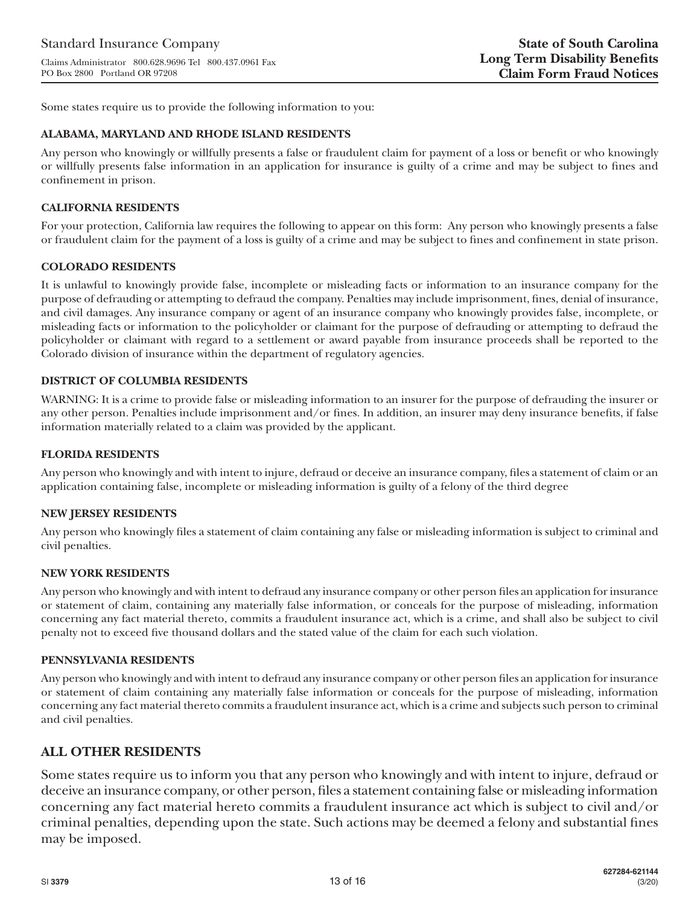Some states require us to provide the following information to you:

## **ALABAMA, MARYLAND AND RHODE ISLAND RESIDENTS**

Any person who knowingly or willfully presents a false or fraudulent claim for payment of a loss or benefit or who knowingly or willfully presents false information in an application for insurance is guilty of a crime and may be subject to fines and confinement in prison.

## **CALIFORNIA RESIDENTS**

For your protection, California law requires the following to appear on this form: Any person who knowingly presents a false or fraudulent claim for the payment of a loss is guilty of a crime and may be subject to fines and confinement in state prison.

## **COLORADO RESIDENTS**

It is unlawful to knowingly provide false, incomplete or misleading facts or information to an insurance company for the purpose of defrauding or attempting to defraud the company. Penalties may include imprisonment, fines, denial of insurance, and civil damages. Any insurance company or agent of an insurance company who knowingly provides false, incomplete, or misleading facts or information to the policyholder or claimant for the purpose of defrauding or attempting to defraud the policyholder or claimant with regard to a settlement or award payable from insurance proceeds shall be reported to the Colorado division of insurance within the department of regulatory agencies.

## **DISTRICT OF COLUMBIA RESIDENTS**

WARNING: It is a crime to provide false or misleading information to an insurer for the purpose of defrauding the insurer or any other person. Penalties include imprisonment and/or fines. In addition, an insurer may deny insurance benefits, if false information materially related to a claim was provided by the applicant.

## **FLORIDA RESIDENTS**

Any person who knowingly and with intent to injure, defraud or deceive an insurance company, files a statement of claim or an application containing false, incomplete or misleading information is guilty of a felony of the third degree

#### **NEW JERSEY RESIDENTS**

Any person who knowingly files a statement of claim containing any false or misleading information is subject to criminal and civil penalties.

#### **NEW YORK RESIDENTS**

Any person who knowingly and with intent to defraud any insurance company or other person files an application for insurance or statement of claim, containing any materially false information, or conceals for the purpose of misleading, information concerning any fact material thereto, commits a fraudulent insurance act, which is a crime, and shall also be subject to civil penalty not to exceed five thousand dollars and the stated value of the claim for each such violation.

#### **PENNSYLVANIA RESIDENTS**

Any person who knowingly and with intent to defraud any insurance company or other person files an application for insurance or statement of claim containing any materially false information or conceals for the purpose of misleading, information concerning any fact material thereto commits a fraudulent insurance act, which is a crime and subjects such person to criminal and civil penalties.

# **ALL OTHER RESIDENTS**

Some states require us to inform you that any person who knowingly and with intent to injure, defraud or deceive an insurance company, or other person, files a statement containing false or misleading information concerning any fact material hereto commits a fraudulent insurance act which is subject to civil and/or criminal penalties, depending upon the state. Such actions may be deemed a felony and substantial fines may be imposed.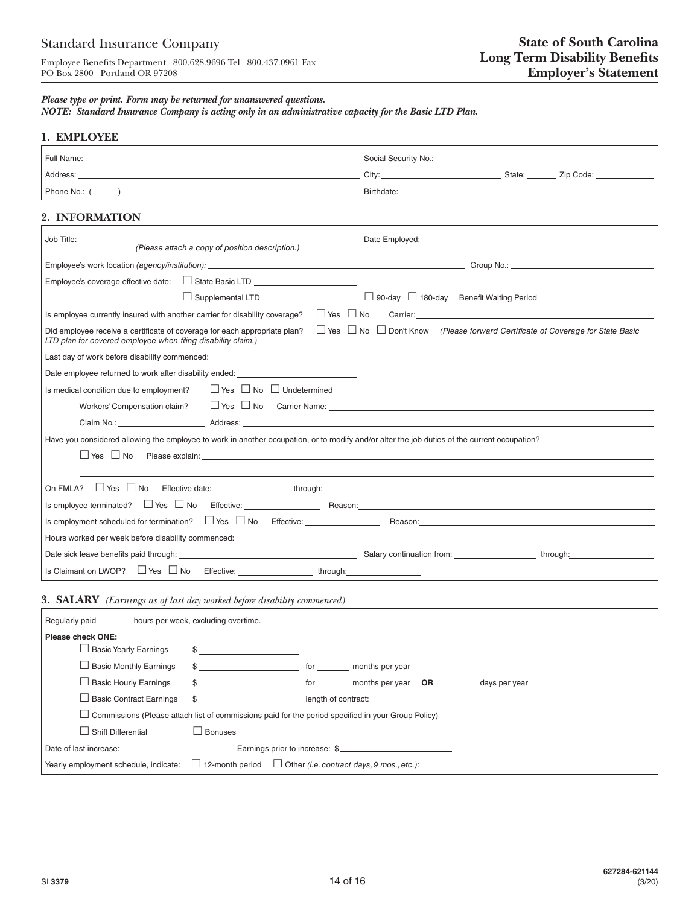#### *Please type or print. Form may be returned for unanswered questions.*

*NOTE: Standard Insurance Company is acting only in an administrative capacity for the Basic LTD Plan.*

## **1. EMPLOYEE**

| Full Name:   | Social Security No.: |        |           |
|--------------|----------------------|--------|-----------|
| Address:     | Citv:                | State: | Zip Code: |
| Phone No.: ( | Birthdate:           |        |           |

## **2. INFORMATION**

| Job Title: _________________                                                                                                                                                                                                                                                                                                          |
|---------------------------------------------------------------------------------------------------------------------------------------------------------------------------------------------------------------------------------------------------------------------------------------------------------------------------------------|
| (Please attach a copy of position description.)                                                                                                                                                                                                                                                                                       |
|                                                                                                                                                                                                                                                                                                                                       |
| Employee's coverage effective date: □ State Basic LTD                                                                                                                                                                                                                                                                                 |
| □ Supplemental LTD ________________________ □ 90-day □ 180-day Benefit Waiting Period                                                                                                                                                                                                                                                 |
| $\Box$ Yes $\Box$ No<br>Carrier: Electronic Carrier: Electronic Carrier: Electronic Carrier: Electronic Carrier: Electronic Carrier: Electronic Carrier: Electronic Carrier: Electronic Carrier: Electronic Carrier: Electronic Carrier: Electronic Ca<br>Is employee currently insured with another carrier for disability coverage? |
| $\Box$ Yes $\Box$ No $\Box$ Don't Know (Please forward Certificate of Coverage for State Basic<br>Did employee receive a certificate of coverage for each appropriate plan?<br>LTD plan for covered employee when filing disability claim.)                                                                                           |
| Last day of work before disability commenced:                                                                                                                                                                                                                                                                                         |
| Date employee returned to work after disability ended: _________________________                                                                                                                                                                                                                                                      |
| $\Box$ Yes $\Box$ No $\Box$ Undetermined<br>Is medical condition due to employment?                                                                                                                                                                                                                                                   |
| $\Box$ Yes $\Box$ No Carrier Name: $\Box$<br>Workers' Compensation claim?                                                                                                                                                                                                                                                             |
| Claim No.: Address: Address: Address: Address: Address: Address: Address: Address: Address: Address: Address: Address: Address: Address: Address: Address: Address: Address: Address: Address: Address: Address: Address: Addr                                                                                                        |
| Have you considered allowing the employee to work in another occupation, or to modify and/or alter the job duties of the current occupation?                                                                                                                                                                                          |
| $\Box$ Yes $\Box$ No                                                                                                                                                                                                                                                                                                                  |
|                                                                                                                                                                                                                                                                                                                                       |
|                                                                                                                                                                                                                                                                                                                                       |
|                                                                                                                                                                                                                                                                                                                                       |
|                                                                                                                                                                                                                                                                                                                                       |
| Hours worked per week before disability commenced:                                                                                                                                                                                                                                                                                    |
| through: the contract of the contract of the contract of the contract of the contract of the contract of the contract of the contract of the contract of the contract of the contract of the contract of the contract of the c                                                                                                        |
|                                                                                                                                                                                                                                                                                                                                       |

## **3. SALARY** *(Earnings as of last day worked before disability commenced)*

| Regularly paid hours per week, excluding overtime.                                                                   |                        |                                     |  |  |
|----------------------------------------------------------------------------------------------------------------------|------------------------|-------------------------------------|--|--|
| <b>Please check ONE:</b>                                                                                             |                        |                                     |  |  |
| $\Box$ Basic Yearly Earnings                                                                                         |                        |                                     |  |  |
| $\Box$ Basic Monthly Earnings                                                                                        | \$ for months per year |                                     |  |  |
| $\Box$ Basic Hourly Earnings                                                                                         |                        | \$ days per year OR days per year S |  |  |
| $\Box$ Basic Contract Earnings                                                                                       |                        | \$ length of contract:              |  |  |
| $\Box$ Commissions (Please attach list of commissions paid for the period specified in your Group Policy)            |                        |                                     |  |  |
| Shift Differential                                                                                                   | $\Box$ Bonuses         |                                     |  |  |
|                                                                                                                      |                        |                                     |  |  |
| Yearly employment schedule, indicate: $\Box$ 12-month period $\Box$ Other <i>(i.e. contract days, 9 mos., etc.):</i> |                        |                                     |  |  |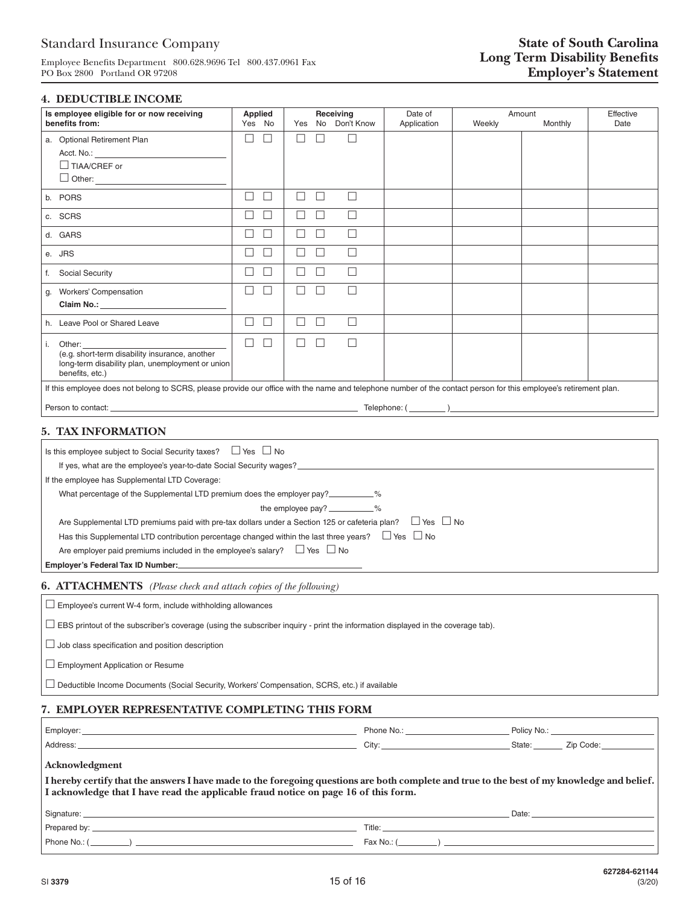# Standard Insurance Company

Employee Benefits Department 800.628.9696 Tel 800.437.0961 Fax PO Box 2800 Portland OR 97208

#### **4. DEDUCTIBLE INCOME**

| Is employee eligible for or now receiving<br>benefits from:                                                                                                                                                                                                                                                                                                                                                                                                                                                                                                                                                                                                                                                                                                    | <b>Applied</b><br>Yes No | Receiving<br>No Don't Know<br>Yes | Date of<br>Application | Weekly | Amount<br>Monthly | Effective<br>Date |
|----------------------------------------------------------------------------------------------------------------------------------------------------------------------------------------------------------------------------------------------------------------------------------------------------------------------------------------------------------------------------------------------------------------------------------------------------------------------------------------------------------------------------------------------------------------------------------------------------------------------------------------------------------------------------------------------------------------------------------------------------------------|--------------------------|-----------------------------------|------------------------|--------|-------------------|-------------------|
| a. Optional Retirement Plan<br>Acct. No.:<br>$\Box$ TIAA/CREF or                                                                                                                                                                                                                                                                                                                                                                                                                                                                                                                                                                                                                                                                                               | П<br>$\Box$              | □<br>П<br>H                       |                        |        |                   |                   |
| b. PORS                                                                                                                                                                                                                                                                                                                                                                                                                                                                                                                                                                                                                                                                                                                                                        | $\Box$<br>$\Box$         | $\Box$<br>$\Box$<br>□             |                        |        |                   |                   |
| c. SCRS                                                                                                                                                                                                                                                                                                                                                                                                                                                                                                                                                                                                                                                                                                                                                        | $\Box$<br>П              | $\Box$<br>$\Box$<br>□             |                        |        |                   |                   |
| d. GARS                                                                                                                                                                                                                                                                                                                                                                                                                                                                                                                                                                                                                                                                                                                                                        | $\Box$<br>$\Box$         | $\Box$<br>$\Box$<br>$\Box$        |                        |        |                   |                   |
| e. JRS                                                                                                                                                                                                                                                                                                                                                                                                                                                                                                                                                                                                                                                                                                                                                         | $\Box$<br>$\Box$         | $\Box$<br>□<br>$\Box$             |                        |        |                   |                   |
| f. Social Security                                                                                                                                                                                                                                                                                                                                                                                                                                                                                                                                                                                                                                                                                                                                             | $\Box$<br>П              | $\Box$<br>П<br>П                  |                        |        |                   |                   |
| <b>Workers' Compensation</b><br>g.                                                                                                                                                                                                                                                                                                                                                                                                                                                                                                                                                                                                                                                                                                                             | П<br>$\Box$              | $\Box$<br>□<br>□                  |                        |        |                   |                   |
| h. Leave Pool or Shared Leave                                                                                                                                                                                                                                                                                                                                                                                                                                                                                                                                                                                                                                                                                                                                  | $\Box$<br>$\Box$         | $\Box$<br>$\Box$<br>$\Box$        |                        |        |                   |                   |
| i. Other:<br>(e.g. short-term disability insurance, another<br>long-term disability plan, unemployment or union<br>benefits, etc.)                                                                                                                                                                                                                                                                                                                                                                                                                                                                                                                                                                                                                             | $\Box$<br>$\Box$         | $\Box$<br>□<br>□                  |                        |        |                   |                   |
| If this employee does not belong to SCRS, please provide our office with the name and telephone number of the contact person for this employee's retirement plan.                                                                                                                                                                                                                                                                                                                                                                                                                                                                                                                                                                                              |                          |                                   |                        |        |                   |                   |
| 5. TAX INFORMATION                                                                                                                                                                                                                                                                                                                                                                                                                                                                                                                                                                                                                                                                                                                                             |                          |                                   |                        |        |                   |                   |
| Is this employee subject to Social Security taxes? $\Box$ Yes $\Box$ No<br>If yes, what are the employee's year-to-date Social Security wages?<br>The manufacture of the employee's year-to-date Social Security wages?<br>If the employee has Supplemental LTD Coverage:<br>What percentage of the Supplemental LTD premium does the employer pay?<br>the employee pay? __________%<br>$\Box$ Yes $\Box$ No<br>Are Supplemental LTD premiums paid with pre-tax dollars under a Section 125 or cafeteria plan?<br>Has this Supplemental LTD contribution percentage changed within the last three years? $\Box$ Yes $\Box$ No<br>Are employer paid premiums included in the employee's salary? $\square$ Yes $\square$ No<br>Employer's Federal Tax ID Number: |                          |                                   |                        |        |                   |                   |
| <b>6. ATTACHMENTS</b> (Please check and attach copies of the following)                                                                                                                                                                                                                                                                                                                                                                                                                                                                                                                                                                                                                                                                                        |                          |                                   |                        |        |                   |                   |
| $\Box$ Employee's current W-4 form, include withholding allowances                                                                                                                                                                                                                                                                                                                                                                                                                                                                                                                                                                                                                                                                                             |                          |                                   |                        |        |                   |                   |
| □ EBS printout of the subscriber's coverage (using the subscriber inquiry - print the information displayed in the coverage tab).                                                                                                                                                                                                                                                                                                                                                                                                                                                                                                                                                                                                                              |                          |                                   |                        |        |                   |                   |
| $\Box$ Job class specification and position description                                                                                                                                                                                                                                                                                                                                                                                                                                                                                                                                                                                                                                                                                                        |                          |                                   |                        |        |                   |                   |

 $\Box$  Employment Application or Resume

Deductible Income Documents (Social Security, Workers' Compensation, SCRS, etc.) if available

## **7. EMPLOYER REPRESENTATIVE COMPLETING THIS FORM**

| Employer: | Phone<br><b>N<sub>IO</sub></b><br>IVU | Policy No |             |
|-----------|---------------------------------------|-----------|-------------|
| Address:  | City:                                 | State:    | 7ir<br>code |

#### **Acknowledgment**

| I acknowledge that I have read the applicable fraud notice on page 16 of this form. | I hereby certify that the answers I have made to the foregoing questions are both complete and true to the best of my knowledge and belief. |
|-------------------------------------------------------------------------------------|---------------------------------------------------------------------------------------------------------------------------------------------|
| Signature: ____________________                                                     | Date:                                                                                                                                       |
|                                                                                     | Title:                                                                                                                                      |
| Phone No.: (_________) ___                                                          |                                                                                                                                             |